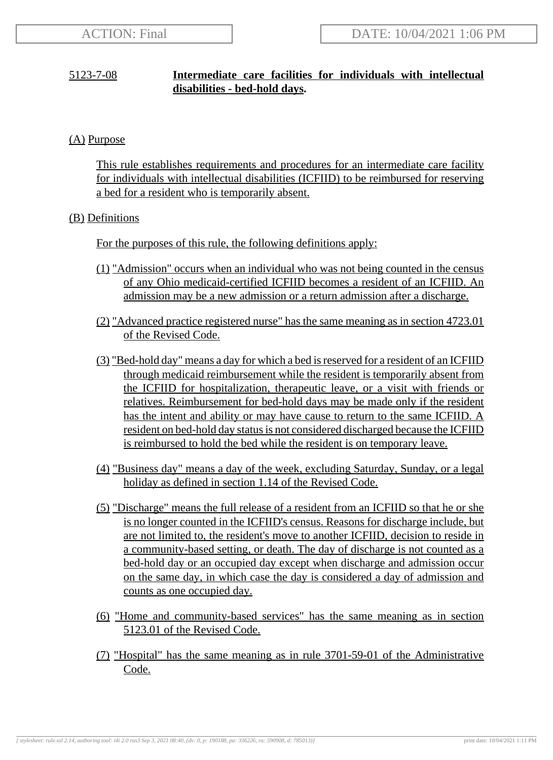# 5123-7-08 **Intermediate care facilities for individuals with intellectual disabilities - bed-hold days.**

# (A) Purpose

This rule establishes requirements and procedures for an intermediate care facility for individuals with intellectual disabilities (ICFIID) to be reimbursed for reserving a bed for a resident who is temporarily absent.

## (B) Definitions

For the purposes of this rule, the following definitions apply:

- (1) "Admission" occurs when an individual who was not being counted in the census of any Ohio medicaid-certified ICFIID becomes a resident of an ICFIID. An admission may be a new admission or a return admission after a discharge.
- (2) "Advanced practice registered nurse" has the same meaning as in section 4723.01 of the Revised Code.
- (3) "Bed-hold day" means a day for which a bed is reserved for a resident of an ICFIID through medicaid reimbursement while the resident is temporarily absent from the ICFIID for hospitalization, therapeutic leave, or a visit with friends or relatives. Reimbursement for bed-hold days may be made only if the resident has the intent and ability or may have cause to return to the same ICFIID. A resident on bed-hold day status is not considered discharged because the ICFIID is reimbursed to hold the bed while the resident is on temporary leave.
- (4) "Business day" means a day of the week, excluding Saturday, Sunday, or a legal holiday as defined in section 1.14 of the Revised Code.
- (5) "Discharge" means the full release of a resident from an ICFIID so that he or she is no longer counted in the ICFIID's census. Reasons for discharge include, but are not limited to, the resident's move to another ICFIID, decision to reside in a community-based setting, or death. The day of discharge is not counted as a bed-hold day or an occupied day except when discharge and admission occur on the same day, in which case the day is considered a day of admission and counts as one occupied day.
- (6) "Home and community-based services" has the same meaning as in section 5123.01 of the Revised Code.
- (7) "Hospital" has the same meaning as in rule 3701-59-01 of the Administrative Code.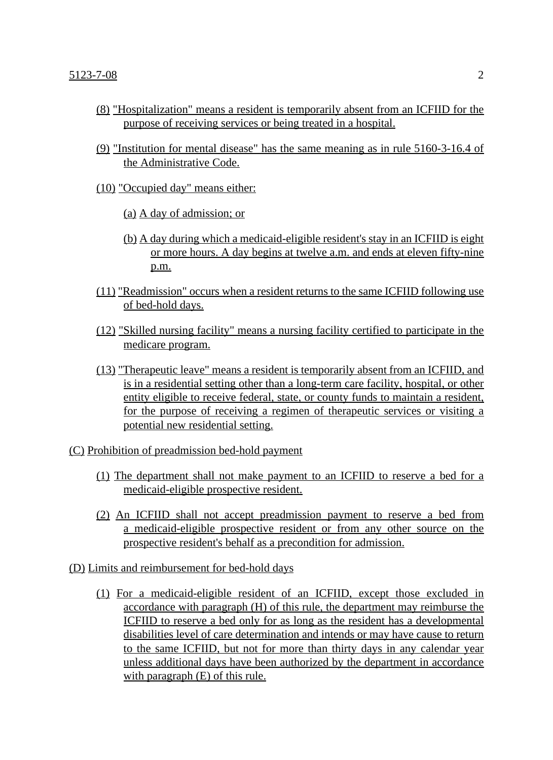- (8) "Hospitalization" means a resident is temporarily absent from an ICFIID for the purpose of receiving services or being treated in a hospital.
- (9) "Institution for mental disease" has the same meaning as in rule 5160-3-16.4 of the Administrative Code.
- (10) "Occupied day" means either:
	- (a) A day of admission; or
	- (b) A day during which a medicaid-eligible resident's stay in an ICFIID is eight or more hours. A day begins at twelve a.m. and ends at eleven fifty-nine p.m.
- (11) "Readmission" occurs when a resident returns to the same ICFIID following use of bed-hold days.
- (12) "Skilled nursing facility" means a nursing facility certified to participate in the medicare program.
- (13) "Therapeutic leave" means a resident is temporarily absent from an ICFIID, and is in a residential setting other than a long-term care facility, hospital, or other entity eligible to receive federal, state, or county funds to maintain a resident, for the purpose of receiving a regimen of therapeutic services or visiting a potential new residential setting.
- (C) Prohibition of preadmission bed-hold payment
	- (1) The department shall not make payment to an ICFIID to reserve a bed for a medicaid-eligible prospective resident.
	- (2) An ICFIID shall not accept preadmission payment to reserve a bed from a medicaid-eligible prospective resident or from any other source on the prospective resident's behalf as a precondition for admission.
- (D) Limits and reimbursement for bed-hold days
	- (1) For a medicaid-eligible resident of an ICFIID, except those excluded in accordance with paragraph (H) of this rule, the department may reimburse the ICFIID to reserve a bed only for as long as the resident has a developmental disabilities level of care determination and intends or may have cause to return to the same ICFIID, but not for more than thirty days in any calendar year unless additional days have been authorized by the department in accordance with paragraph  $(E)$  of this rule.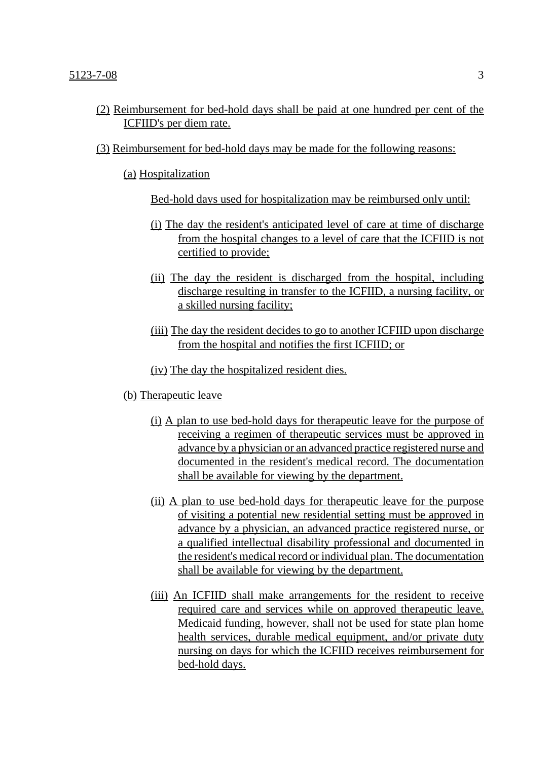- (2) Reimbursement for bed-hold days shall be paid at one hundred per cent of the ICFIID's per diem rate.
- (3) Reimbursement for bed-hold days may be made for the following reasons:

(a) Hospitalization

Bed-hold days used for hospitalization may be reimbursed only until:

- (i) The day the resident's anticipated level of care at time of discharge from the hospital changes to a level of care that the ICFIID is not certified to provide;
- (ii) The day the resident is discharged from the hospital, including discharge resulting in transfer to the ICFIID, a nursing facility, or a skilled nursing facility;
- (iii) The day the resident decides to go to another ICFIID upon discharge from the hospital and notifies the first ICFIID; or
- (iv) The day the hospitalized resident dies.
- (b) Therapeutic leave
	- (i) A plan to use bed-hold days for therapeutic leave for the purpose of receiving a regimen of therapeutic services must be approved in advance by a physician or an advanced practice registered nurse and documented in the resident's medical record. The documentation shall be available for viewing by the department.
	- (ii) A plan to use bed-hold days for therapeutic leave for the purpose of visiting a potential new residential setting must be approved in advance by a physician, an advanced practice registered nurse, or a qualified intellectual disability professional and documented in the resident's medical record or individual plan. The documentation shall be available for viewing by the department.
	- (iii) An ICFIID shall make arrangements for the resident to receive required care and services while on approved therapeutic leave. Medicaid funding, however, shall not be used for state plan home health services, durable medical equipment, and/or private duty nursing on days for which the ICFIID receives reimbursement for bed-hold days.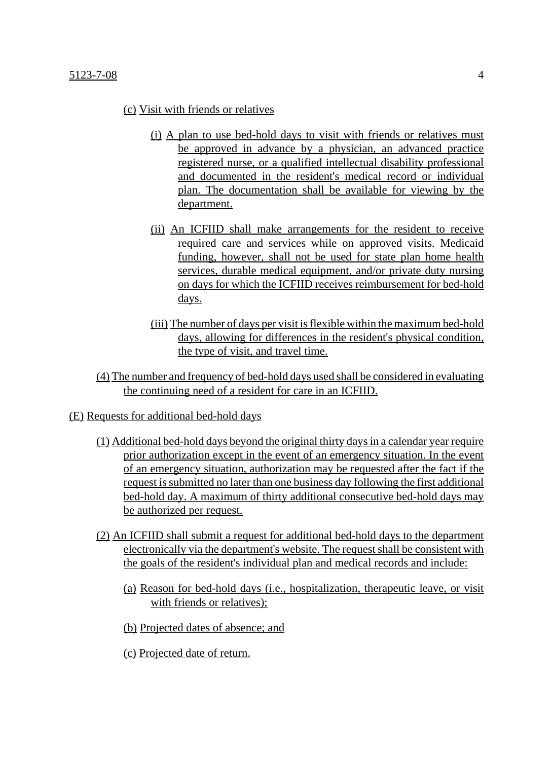## $5123 - 7 - 08$  4

### (c) Visit with friends or relatives

- (i) A plan to use bed-hold days to visit with friends or relatives must be approved in advance by a physician, an advanced practice registered nurse, or a qualified intellectual disability professional and documented in the resident's medical record or individual plan. The documentation shall be available for viewing by the department.
- (ii) An ICFIID shall make arrangements for the resident to receive required care and services while on approved visits. Medicaid funding, however, shall not be used for state plan home health services, durable medical equipment, and/or private duty nursing on days for which the ICFIID receives reimbursement for bed-hold days.
- (iii) The number of days per visit is flexible within the maximum bed-hold days, allowing for differences in the resident's physical condition, the type of visit, and travel time.
- (4) The number and frequency of bed-hold days used shall be considered in evaluating the continuing need of a resident for care in an ICFIID.

#### (E) Requests for additional bed-hold days

- (1) Additional bed-hold days beyond the original thirty days in a calendar year require prior authorization except in the event of an emergency situation. In the event of an emergency situation, authorization may be requested after the fact if the request is submitted no later than one business day following the first additional bed-hold day. A maximum of thirty additional consecutive bed-hold days may be authorized per request.
- (2) An ICFIID shall submit a request for additional bed-hold days to the department electronically via the department's website. The request shall be consistent with the goals of the resident's individual plan and medical records and include:
	- (a) Reason for bed-hold days (i.e., hospitalization, therapeutic leave, or visit with friends or relatives);
	- (b) Projected dates of absence; and
	- (c) Projected date of return.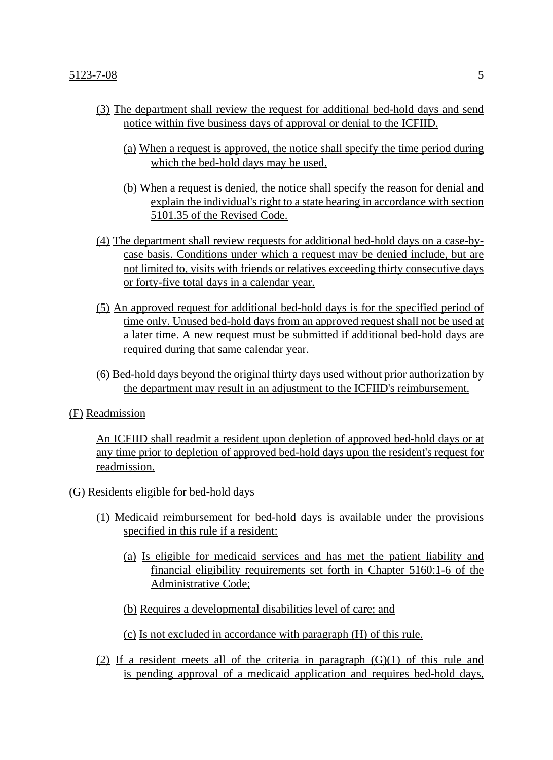- (3) The department shall review the request for additional bed-hold days and send notice within five business days of approval or denial to the ICFIID.
	- (a) When a request is approved, the notice shall specify the time period during which the bed-hold days may be used.
	- (b) When a request is denied, the notice shall specify the reason for denial and explain the individual's right to a state hearing in accordance with section 5101.35 of the Revised Code.
- (4) The department shall review requests for additional bed-hold days on a case-bycase basis. Conditions under which a request may be denied include, but are not limited to, visits with friends or relatives exceeding thirty consecutive days or forty-five total days in a calendar year.
- (5) An approved request for additional bed-hold days is for the specified period of time only. Unused bed-hold days from an approved request shall not be used at a later time. A new request must be submitted if additional bed-hold days are required during that same calendar year.
- (6) Bed-hold days beyond the original thirty days used without prior authorization by the department may result in an adjustment to the ICFIID's reimbursement.

## (F) Readmission

An ICFIID shall readmit a resident upon depletion of approved bed-hold days or at any time prior to depletion of approved bed-hold days upon the resident's request for readmission.

### (G) Residents eligible for bed-hold days

- (1) Medicaid reimbursement for bed-hold days is available under the provisions specified in this rule if a resident:
	- (a) Is eligible for medicaid services and has met the patient liability and financial eligibility requirements set forth in Chapter 5160:1-6 of the Administrative Code;
	- (b) Requires a developmental disabilities level of care; and

(c) Is not excluded in accordance with paragraph (H) of this rule.

(2) If a resident meets all of the criteria in paragraph  $(G)(1)$  of this rule and is pending approval of a medicaid application and requires bed-hold days,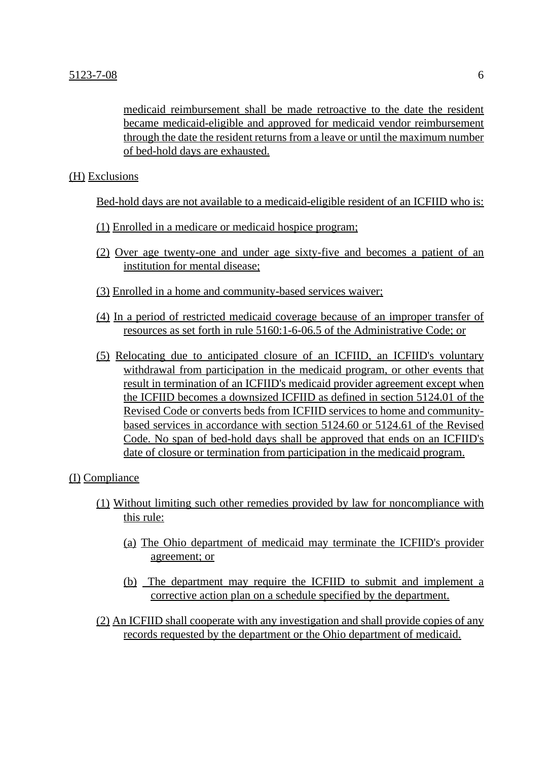medicaid reimbursement shall be made retroactive to the date the resident became medicaid-eligible and approved for medicaid vendor reimbursement through the date the resident returns from a leave or until the maximum number of bed-hold days are exhausted.

(H) Exclusions

Bed-hold days are not available to a medicaid-eligible resident of an ICFIID who is:

- (1) Enrolled in a medicare or medicaid hospice program;
- (2) Over age twenty-one and under age sixty-five and becomes a patient of an institution for mental disease;
- (3) Enrolled in a home and community-based services waiver;
- (4) In a period of restricted medicaid coverage because of an improper transfer of resources as set forth in rule 5160:1-6-06.5 of the Administrative Code; or
- (5) Relocating due to anticipated closure of an ICFIID, an ICFIID's voluntary withdrawal from participation in the medicaid program, or other events that result in termination of an ICFIID's medicaid provider agreement except when the ICFIID becomes a downsized ICFIID as defined in section 5124.01 of the Revised Code or converts beds from ICFIID services to home and communitybased services in accordance with section 5124.60 or 5124.61 of the Revised Code. No span of bed-hold days shall be approved that ends on an ICFIID's date of closure or termination from participation in the medicaid program.

### (I) Compliance

- (1) Without limiting such other remedies provided by law for noncompliance with this rule:
	- (a) The Ohio department of medicaid may terminate the ICFIID's provider agreement; or
	- (b) The department may require the ICFIID to submit and implement a corrective action plan on a schedule specified by the department.
- (2) An ICFIID shall cooperate with any investigation and shall provide copies of any records requested by the department or the Ohio department of medicaid.